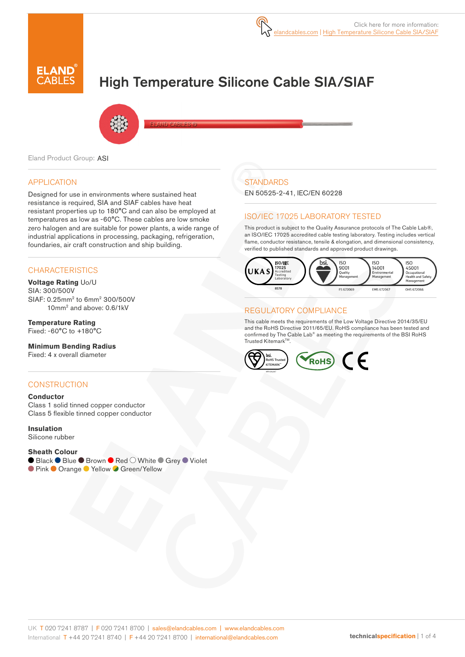

# High Temperature Silicone Cable SIA/SIAF



Eland Product Group: ASI

## APPLICATION

Designed for use in environments where sustained heat resistance is required, SIA and SIAF cables have heat resistant properties up to 180°C and can also be employed at temperatures as low as -60°C. These cables are low smoke zero halogen and are suitable for power plants, a wide range of industrial applications in processing, packaging, refrigeration, foundaries, air craft construction and ship building.

## **CHARACTERISTICS**

#### **Voltage Rating** Uo/U

SIA: 300/500V SIAF: 0.25mm2 to 6mm2 300/500V 10mm2 and above: 0.6/1kV

#### **Temperature Rating** Fixed: -60°C to +180°C

#### **Minimum Bending Radius**

Fixed: 4 x overall diameter

## **CONSTRUCTION**

#### **Conductor**

Class 1 solid tinned copper conductor Class 5 flexible tinned copper conductor

#### **Insulation**

Silicone rubber

#### **Sheath Colour**

● Black ● Blue ● Brown ● Red ○ White ● Grey ● Violet

● Pink ● Orange ● Yellow ● Green/Yellow

# **STANDARDS**

EN 50525-2-41, IEC/EN 60228

## ISO/IEC 17025 LABORATORY TESTED

This product is subject to the Quality Assurance protocols of The Cable Lab®, an ISO/IEC 17025 accredited cable testing laboratory. Testing includes vertical flame, conductor resistance, tensile & elongation, and dimensional consistency, verified to published standards and approved product drawings.



## REGULATORY COMPLIANCE

This cable meets the requirements of the Low Voltage Directive 2014/35/EU and the RoHS Directive 2011/65/EU. RoHS compliance has been tested and confirmed by The Cable Lab® as meeting the requirements of the BSI RoHS Trusted Kitemark™.

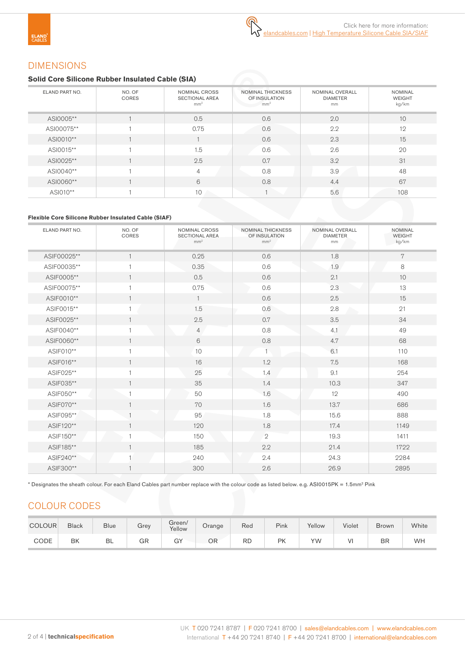# DIMENSIONS

## **Solid Core Silicone Rubber Insulated Cable (SIA)**

| ELAND PART NO. | NO. OF<br>CORES | NOMINAL CROSS<br><b>SECTIONAL AREA</b><br>mm <sup>2</sup> | <b>NOMINAL THICKNESS</b><br>OF INSULATION<br>mm <sup>2</sup> | NOMINAL OVERALL<br><b>DIAMETER</b><br>mm | <b>NOMINAL</b><br><b>WEIGHT</b><br>kg/km |
|----------------|-----------------|-----------------------------------------------------------|--------------------------------------------------------------|------------------------------------------|------------------------------------------|
| ASI0005**      |                 | 0.5                                                       | 0.6                                                          | 2.0                                      | 10                                       |
| ASI00075**     |                 | 0.75                                                      | 0.6                                                          | 2.2                                      | 12                                       |
| ASI0010**      |                 |                                                           | 0.6                                                          | 2.3                                      | 15                                       |
| ASI0015**      |                 | 1.5                                                       | 0.6                                                          | 2.6                                      | 20                                       |
| ASI0025**      |                 | 2.5                                                       | 0.7                                                          | 3.2                                      | 31                                       |
| ASI0040**      |                 | $\overline{4}$                                            | 0.8                                                          | 3.9                                      | 48                                       |
| ASI0060**      |                 | 6                                                         | 0.8                                                          | 4.4                                      | 67                                       |
| ASI010**       |                 | 10                                                        |                                                              | 5.6                                      | 108                                      |

# **Flexible Core Silicone Rubber Insulated Cable (SIAF)**

| ELAND PART NO. | NO. OF<br>CORES | NOMINAL CROSS<br><b>SECTIONAL AREA</b><br>mm <sup>2</sup> | <b>NOMINAL THICKNESS</b><br>OF INSULATION<br>mm <sup>2</sup> | NOMINAL OVERALL<br><b>DIAMETER</b><br>mm | <b>NOMINAL</b><br>WEIGHT<br>kg/km |
|----------------|-----------------|-----------------------------------------------------------|--------------------------------------------------------------|------------------------------------------|-----------------------------------|
| ASIF00025**    | $\mathbf{1}$    | 0.25                                                      | 0.6                                                          | 1.8                                      | 7                                 |
| ASIF00035**    | 1               | 0.35                                                      | 0.6                                                          | 1.9                                      | $\,8\,$                           |
| ASIF0005**     | $\mathbf{1}$    | 0.5                                                       | 0.6                                                          | 2.1                                      | 10                                |
| ASIF00075**    | $\mathbf{1}$    | 0.75                                                      | 0.6                                                          | 2.3                                      | 13                                |
| ASIF0010**     | $\mathbf{1}$    | $\mathbf{1}$                                              | 0.6                                                          | 2.5                                      | 15                                |
| ASIF0015**     |                 | 1.5                                                       | 0.6                                                          | 2.8                                      | 21                                |
| ASIF0025**     | $\mathbf{1}$    | 2.5                                                       | 0.7                                                          | 3.5                                      | 34                                |
| ASIF0040**     | 1               | $\overline{4}$                                            | $0.8\,$                                                      | 4.1                                      | 49                                |
| ASIF0060**     | $\mathbf{1}$    | 6                                                         | 0.8                                                          | 4.7                                      | 68                                |
| ASIF010**      | $\mathbf{1}$    | 10                                                        |                                                              | 6.1                                      | 110                               |
| ASIF016**      | $\mathbf{1}$    | 16                                                        | 1.2                                                          | 7.5                                      | 168                               |
| ASIF025**      | $\mathbf{1}$    | 25                                                        | 1.4                                                          | 9.1                                      | 254                               |
| ASIF035**      | $\mathbf{1}$    | 35                                                        | 1.4                                                          | 10.3                                     |                                   |
| ASIF050**      | $\mathbf{1}$    | 50                                                        | 1.6                                                          | 12                                       | 490                               |
| ASIF070**      | $\mathbf{1}$    | 70                                                        | 1.6                                                          | 13.7                                     | 686                               |
| ASIF095**      |                 | 95                                                        | 1.8                                                          | 15.6                                     | 888                               |
| ASIF120**      | $\mathbf{1}$    | 120                                                       | 1.8                                                          | 17.4                                     | 1149                              |
| ASIF150**      | 1               | 150                                                       | $\mathbf{2}$                                                 | 19.3                                     | 1411                              |
| ASIF185**      | $\mathbf{1}$    | 185                                                       | 2.2                                                          | 21.4                                     | 1722                              |
| ASIF240**      |                 | 240                                                       | 2.4                                                          | 24.3                                     | 2284                              |
| ASIF300**      | $\mathbf{1}$    | 300                                                       | 2.6                                                          | 26.9                                     | 2895                              |

\* Designates the sheath colour. For each Eland Cables part number replace with the colour code as listed below. e.g. ASI0015PK = 1.5mm2 Pink

# COLOUR CODES

| <b>COLOUR</b> | <b>Black</b> | <b>Blue</b> | Grev | Green/<br>Yellow | Orange | Red       | Pink | Yellow | Violet | <b>Brown</b> | White |
|---------------|--------------|-------------|------|------------------|--------|-----------|------|--------|--------|--------------|-------|
| CODE          | BK           | BL          | GR   | GY               | ΟR     | <b>RD</b> | PK   | YW     | ٧I     | BR           | WH    |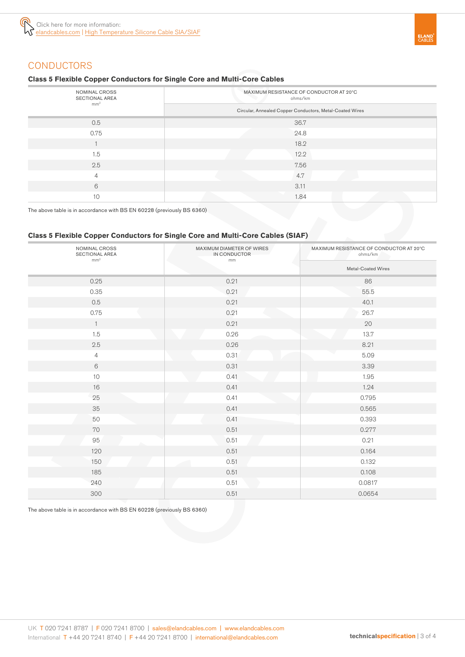

# **CONDUCTORS**

#### **Class 5 Flexible Copper Conductors for Single Core and Multi-Core Cables**

| NOMINAL CROSS<br>SECTIONAL AREA | MAXIMUM RESISTANCE OF CONDUCTOR AT 20°C<br>ohms/km       |  |  |  |  |
|---------------------------------|----------------------------------------------------------|--|--|--|--|
| mm <sup>2</sup>                 | Circular, Annealed Copper Conductors, Metal-Coated Wires |  |  |  |  |
| 0.5                             | 36.7                                                     |  |  |  |  |
| 0.75                            | 24.8                                                     |  |  |  |  |
|                                 | 18.2                                                     |  |  |  |  |
| 1.5                             | 12.2                                                     |  |  |  |  |
| 2.5                             | 7.56                                                     |  |  |  |  |
| $\overline{4}$                  | 4.7                                                      |  |  |  |  |
| 6                               | 3.11                                                     |  |  |  |  |
| 10                              | 1.84                                                     |  |  |  |  |

The above table is in accordance with BS EN 60228 (previously BS 6360)

# **Class 5 Flexible Copper Conductors for Single Core and Multi-Core Cables (SIAF)**

| NOMINAL CROSS<br>SECTIONAL AREA<br>mm <sup>2</sup> | MAXIMUM DIAMETER OF WIRES<br>IN CONDUCTOR<br>mm | MAXIMUM RESISTANCE OF CONDUCTOR AT 20°C<br>ohms/km<br>Metal-Coated Wires |  |  |
|----------------------------------------------------|-------------------------------------------------|--------------------------------------------------------------------------|--|--|
|                                                    |                                                 |                                                                          |  |  |
| 0.25                                               | 0.21                                            | 86                                                                       |  |  |
| 0.35                                               | 0.21                                            | 55.5                                                                     |  |  |
| 0.5                                                | 0.21                                            | 40.1                                                                     |  |  |
| 0.75                                               | 0.21                                            | 26.7                                                                     |  |  |
| $\mathbf{1}$                                       | 0.21                                            | 20                                                                       |  |  |
| 1.5                                                | 0.26                                            | 13.7                                                                     |  |  |
| 2.5                                                | 0.26                                            | 8.21                                                                     |  |  |
| $\overline{4}$                                     | 0.31                                            | 5.09                                                                     |  |  |
| $6\,$                                              | 0.31                                            | 3.39                                                                     |  |  |
| $10$                                               | 0.41                                            | 1.95                                                                     |  |  |
| 16                                                 | 0.41                                            | 1.24                                                                     |  |  |
| 25                                                 | 0.41                                            | 0.795                                                                    |  |  |
| 35                                                 | 0.41                                            | 0.565                                                                    |  |  |
| 50                                                 | 0.41                                            | 0.393                                                                    |  |  |
| 70                                                 | 0.51                                            | 0.277                                                                    |  |  |
| 95                                                 | 0.51                                            | 0.21                                                                     |  |  |
| 120                                                | 0.51                                            | 0.164                                                                    |  |  |
| 150                                                | 0.51                                            | 0.132                                                                    |  |  |
| 185                                                | 0.51                                            | 0.108                                                                    |  |  |
| 240                                                | 0.51                                            | 0.0817                                                                   |  |  |
| 300                                                | 0.51                                            | 0.0654                                                                   |  |  |

The above table is in accordance with BS EN 60228 (previously BS 6360)